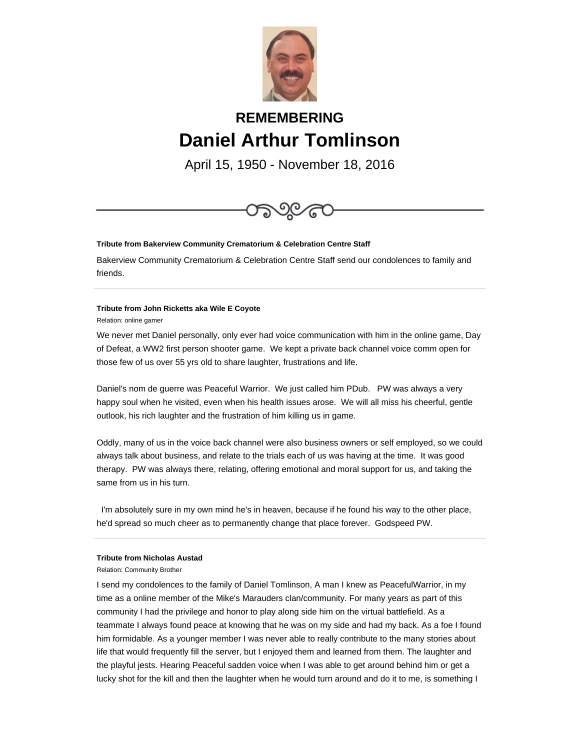

# **REMEMBERING Daniel Arthur Tomlinson**

April 15, 1950 - November 18, 2016



# **Tribute from Bakerview Community Crematorium & Celebration Centre Staff**

Bakerview Community Crematorium & Celebration Centre Staff send our condolences to family and friends.

## **Tribute from John Ricketts aka Wile E Coyote**

Relation: online gamer

We never met Daniel personally, only ever had voice communication with him in the online game, Day of Defeat, a WW2 first person shooter game. We kept a private back channel voice comm open for those few of us over 55 yrs old to share laughter, frustrations and life.

Daniel's nom de guerre was Peaceful Warrior. We just called him PDub. PW was always a very happy soul when he visited, even when his health issues arose. We will all miss his cheerful, gentle outlook, his rich laughter and the frustration of him killing us in game.

Oddly, many of us in the voice back channel were also business owners or self employed, so we could always talk about business, and relate to the trials each of us was having at the time. It was good therapy. PW was always there, relating, offering emotional and moral support for us, and taking the same from us in his turn.

 I'm absolutely sure in my own mind he's in heaven, because if he found his way to the other place, he'd spread so much cheer as to permanently change that place forever. Godspeed PW.

# **Tribute from Nicholas Austad**

Relation: Community Brother

I send my condolences to the family of Daniel Tomlinson, A man I knew as PeacefulWarrior, in my time as a online member of the Mike's Marauders clan/community. For many years as part of this community I had the privilege and honor to play along side him on the virtual battlefield. As a teammate I always found peace at knowing that he was on my side and had my back. As a foe I found him formidable. As a younger member I was never able to really contribute to the many stories about life that would frequently fill the server, but I enjoyed them and learned from them. The laughter and the playful jests. Hearing Peaceful sadden voice when I was able to get around behind him or get a lucky shot for the kill and then the laughter when he would turn around and do it to me, is something I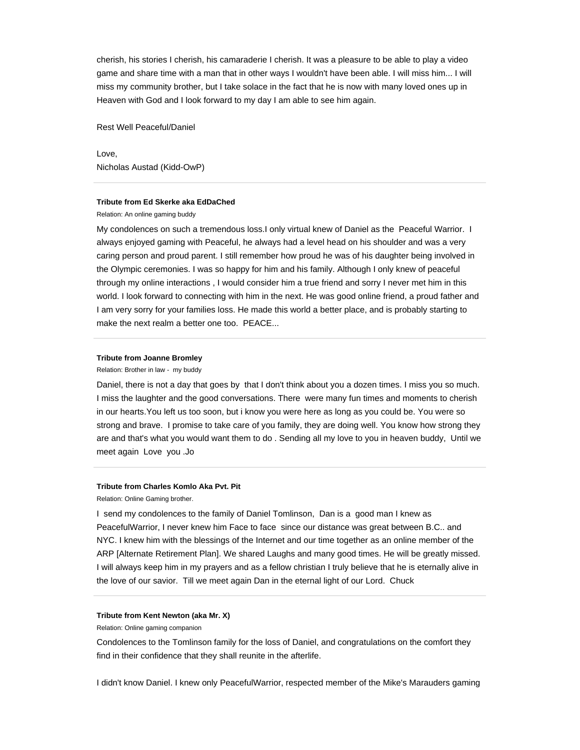cherish, his stories I cherish, his camaraderie I cherish. It was a pleasure to be able to play a video game and share time with a man that in other ways I wouldn't have been able. I will miss him... I will miss my community brother, but I take solace in the fact that he is now with many loved ones up in Heaven with God and I look forward to my day I am able to see him again.

Rest Well Peaceful/Daniel

Love, Nicholas Austad (Kidd-OwP)

## **Tribute from Ed Skerke aka EdDaChed**

Relation: An online gaming buddy

My condolences on such a tremendous loss.I only virtual knew of Daniel as the Peaceful Warrior. I always enjoyed gaming with Peaceful, he always had a level head on his shoulder and was a very caring person and proud parent. I still remember how proud he was of his daughter being involved in the Olympic ceremonies. I was so happy for him and his family. Although I only knew of peaceful through my online interactions , I would consider him a true friend and sorry I never met him in this world. I look forward to connecting with him in the next. He was good online friend, a proud father and I am very sorry for your families loss. He made this world a better place, and is probably starting to make the next realm a better one too. PEACE...

## **Tribute from Joanne Bromley**

Relation: Brother in law - my buddy

Daniel, there is not a day that goes by that I don't think about you a dozen times. I miss you so much. I miss the laughter and the good conversations. There were many fun times and moments to cherish in our hearts.You left us too soon, but i know you were here as long as you could be. You were so strong and brave. I promise to take care of you family, they are doing well. You know how strong they are and that's what you would want them to do . Sending all my love to you in heaven buddy, Until we meet again Love you .Jo

#### **Tribute from Charles Komlo Aka Pvt. Pit**

Relation: Online Gaming brother.

I send my condolences to the family of Daniel Tomlinson, Dan is a good man I knew as PeacefulWarrior, I never knew him Face to face since our distance was great between B.C.. and NYC. I knew him with the blessings of the Internet and our time together as an online member of the ARP [Alternate Retirement Plan]. We shared Laughs and many good times. He will be greatly missed. I will always keep him in my prayers and as a fellow christian I truly believe that he is eternally alive in the love of our savior. Till we meet again Dan in the eternal light of our Lord. Chuck

#### **Tribute from Kent Newton (aka Mr. X)**

Relation: Online gaming companion

Condolences to the Tomlinson family for the loss of Daniel, and congratulations on the comfort they find in their confidence that they shall reunite in the afterlife.

I didn't know Daniel. I knew only PeacefulWarrior, respected member of the Mike's Marauders gaming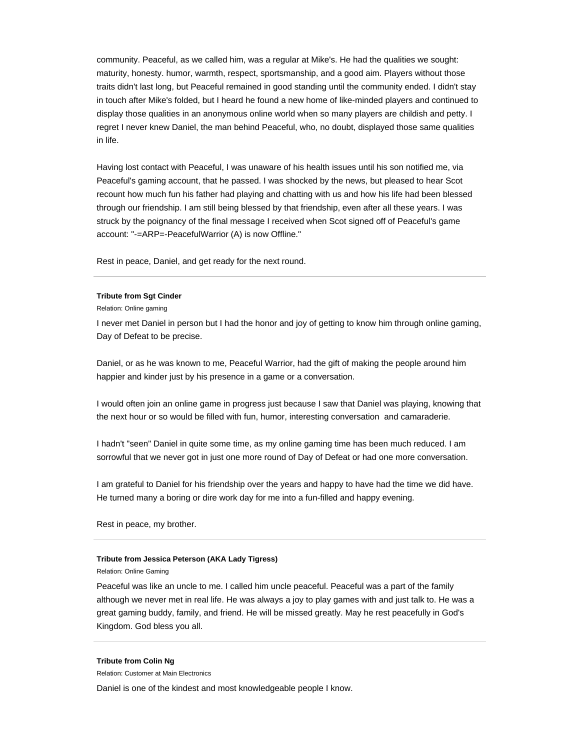community. Peaceful, as we called him, was a regular at Mike's. He had the qualities we sought: maturity, honesty. humor, warmth, respect, sportsmanship, and a good aim. Players without those traits didn't last long, but Peaceful remained in good standing until the community ended. I didn't stay in touch after Mike's folded, but I heard he found a new home of like-minded players and continued to display those qualities in an anonymous online world when so many players are childish and petty. I regret I never knew Daniel, the man behind Peaceful, who, no doubt, displayed those same qualities in life.

Having lost contact with Peaceful, I was unaware of his health issues until his son notified me, via Peaceful's gaming account, that he passed. I was shocked by the news, but pleased to hear Scot recount how much fun his father had playing and chatting with us and how his life had been blessed through our friendship. I am still being blessed by that friendship, even after all these years. I was struck by the poignancy of the final message I received when Scot signed off of Peaceful's game account: "-=ARP=-PeacefulWarrior (A) is now Offline."

Rest in peace, Daniel, and get ready for the next round.

## **Tribute from Sgt Cinder**

Relation: Online gaming

I never met Daniel in person but I had the honor and joy of getting to know him through online gaming, Day of Defeat to be precise.

Daniel, or as he was known to me, Peaceful Warrior, had the gift of making the people around him happier and kinder just by his presence in a game or a conversation.

I would often join an online game in progress just because I saw that Daniel was playing, knowing that the next hour or so would be filled with fun, humor, interesting conversation and camaraderie.

I hadn't "seen" Daniel in quite some time, as my online gaming time has been much reduced. I am sorrowful that we never got in just one more round of Day of Defeat or had one more conversation.

I am grateful to Daniel for his friendship over the years and happy to have had the time we did have. He turned many a boring or dire work day for me into a fun-filled and happy evening.

Rest in peace, my brother.

### **Tribute from Jessica Peterson (AKA Lady Tigress)**

Relation: Online Gaming

Peaceful was like an uncle to me. I called him uncle peaceful. Peaceful was a part of the family although we never met in real life. He was always a joy to play games with and just talk to. He was a great gaming buddy, family, and friend. He will be missed greatly. May he rest peacefully in God's Kingdom. God bless you all.

#### **Tribute from Colin Ng**

Relation: Customer at Main Electronics

Daniel is one of the kindest and most knowledgeable people I know.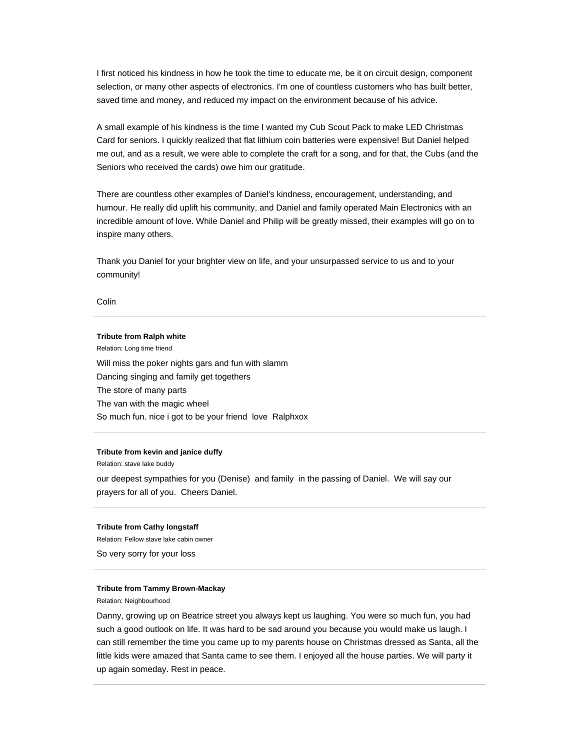I first noticed his kindness in how he took the time to educate me, be it on circuit design, component selection, or many other aspects of electronics. I'm one of countless customers who has built better, saved time and money, and reduced my impact on the environment because of his advice.

A small example of his kindness is the time I wanted my Cub Scout Pack to make LED Christmas Card for seniors. I quickly realized that flat lithium coin batteries were expensive! But Daniel helped me out, and as a result, we were able to complete the craft for a song, and for that, the Cubs (and the Seniors who received the cards) owe him our gratitude.

There are countless other examples of Daniel's kindness, encouragement, understanding, and humour. He really did uplift his community, and Daniel and family operated Main Electronics with an incredible amount of love. While Daniel and Philip will be greatly missed, their examples will go on to inspire many others.

Thank you Daniel for your brighter view on life, and your unsurpassed service to us and to your community!

Colin

#### **Tribute from Ralph white**

Relation: Long time friend Will miss the poker nights gars and fun with slamm Dancing singing and family get togethers The store of many parts The van with the magic wheel So much fun. nice i got to be your friend love Ralphxox

## **Tribute from kevin and janice duffy**

Relation: stave lake buddy our deepest sympathies for you (Denise) and family in the passing of Daniel. We will say our prayers for all of you. Cheers Daniel.

#### **Tribute from Cathy longstaff**

Relation: Fellow stave lake cabin owner

So very sorry for your loss

#### **Tribute from Tammy Brown-Mackay**

Relation: Neighbourhood

Danny, growing up on Beatrice street you always kept us laughing. You were so much fun, you had such a good outlook on life. It was hard to be sad around you because you would make us laugh. I can still remember the time you came up to my parents house on Christmas dressed as Santa, all the little kids were amazed that Santa came to see them. I enjoyed all the house parties. We will party it up again someday. Rest in peace.